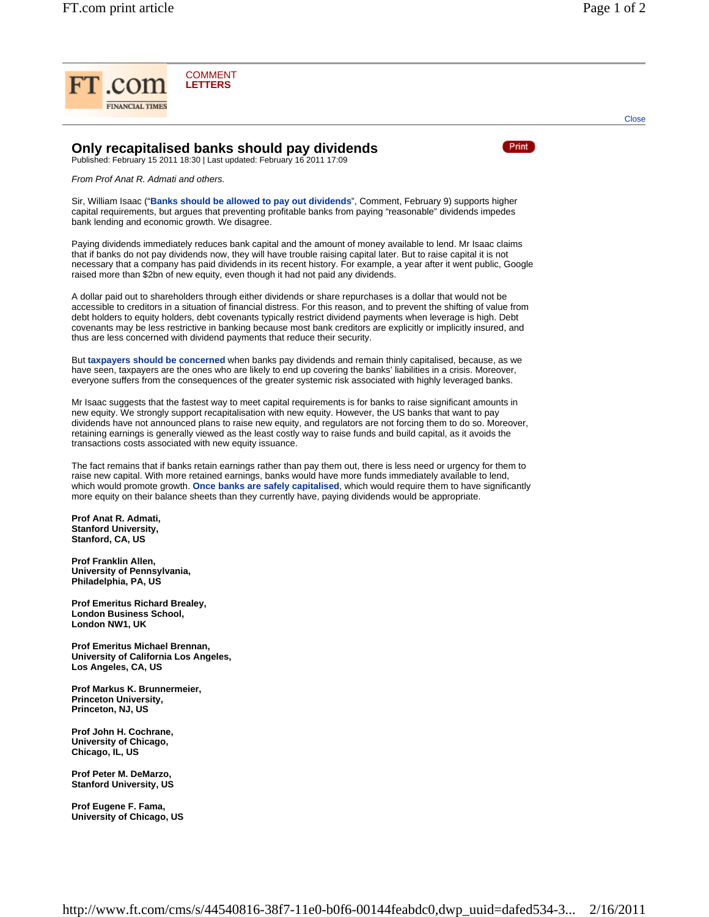

## **Only recapitalised banks should pay dividends**



Published: February 15 2011 18:30 | Last updated: February 16 2011 17:09

*From Prof Anat R. Admati and others.*

Sir, William Isaac ("**Banks should be allowed to pay out dividends**", Comment, February 9) supports higher capital requirements, but argues that preventing profitable banks from paying "reasonable" dividends impedes bank lending and economic growth. We disagree.

Paying dividends immediately reduces bank capital and the amount of money available to lend. Mr Isaac claims that if banks do not pay dividends now, they will have trouble raising capital later. But to raise capital it is not necessary that a company has paid dividends in its recent history. For example, a year after it went public, Google raised more than \$2bn of new equity, even though it had not paid any dividends.

A dollar paid out to shareholders through either dividends or share repurchases is a dollar that would not be accessible to creditors in a situation of financial distress. For this reason, and to prevent the shifting of value from debt holders to equity holders, debt covenants typically restrict dividend payments when leverage is high. Debt covenants may be less restrictive in banking because most bank creditors are explicitly or implicitly insured, and thus are less concerned with dividend payments that reduce their security.

But **taxpayers should be concerned** when banks pay dividends and remain thinly capitalised, because, as we have seen, taxpayers are the ones who are likely to end up covering the banks' liabilities in a crisis. Moreover, everyone suffers from the consequences of the greater systemic risk associated with highly leveraged banks.

Mr Isaac suggests that the fastest way to meet capital requirements is for banks to raise significant amounts in new equity. We strongly support recapitalisation with new equity. However, the US banks that want to pay dividends have not announced plans to raise new equity, and regulators are not forcing them to do so. Moreover, retaining earnings is generally viewed as the least costly way to raise funds and build capital, as it avoids the transactions costs associated with new equity issuance.

The fact remains that if banks retain earnings rather than pay them out, there is less need or urgency for them to raise new capital. With more retained earnings, banks would have more funds immediately available to lend, which would promote growth. **Once banks are safely capitalised**, which would require them to have significantly more equity on their balance sheets than they currently have, paying dividends would be appropriate.

**Prof Anat R. Admati, Stanford University, Stanford, CA, US**

**Prof Franklin Allen, University of Pennsylvania, Philadelphia, PA, US** 

**Prof Emeritus Richard Brealey, London Business School, London NW1, UK**

**Prof Emeritus Michael Brennan, University of California Los Angeles, Los Angeles, CA, US**

**Prof Markus K. Brunnermeier, Princeton University, Princeton, NJ, US**

**Prof John H. Cochrane, University of Chicago, Chicago, IL, US**

**Prof Peter M. DeMarzo, Stanford University, US**

**Prof Eugene F. Fama, University of Chicago, US**  **Close**